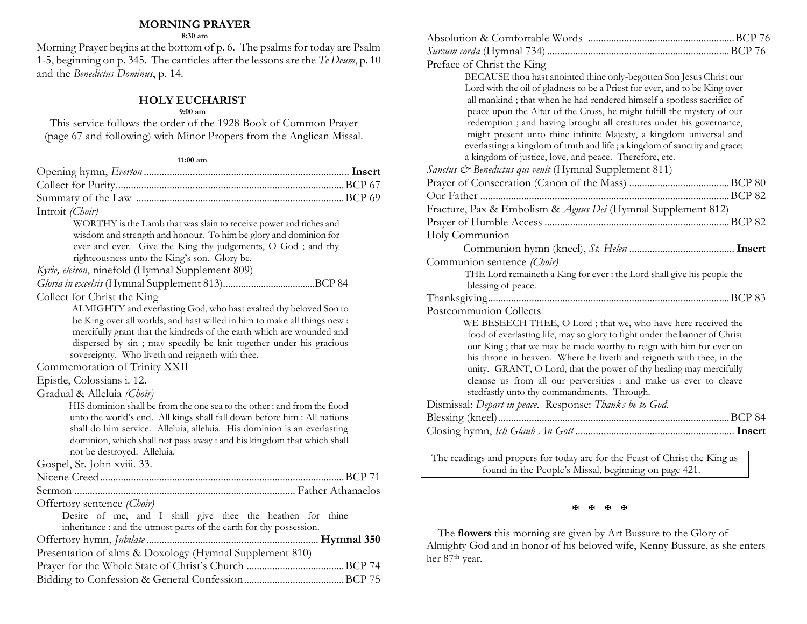#### **MORNING PRAYER**

**8:30 am**

Morning Prayer begins at the bottom of p. 6. The psalms for today are Psalm 1-5, beginning on p. 345. The canticles after the lessons are the *Te Deum*, p. 10 and the *Benedictus Dominus*, p. 14.

### **HOLY EUCHARIST**

#### **9:00 am**

This service follows the order of the 1928 Book of Common Prayer (page 67 and following) with Minor Propers from the Anglican Missal.

#### **11:00 am**

| Introit (Choir)                                                                                                        |
|------------------------------------------------------------------------------------------------------------------------|
| WORTHY is the Lamb that was slain to receive power and riches and                                                      |
| wisdom and strength and honour. To him be glory and dominion for                                                       |
| ever and ever. Give the King thy judgements, O God; and thy                                                            |
| righteousness unto the King's son. Glory be.                                                                           |
| Kyrie, eleison, ninefold (Hymnal Supplement 809)                                                                       |
|                                                                                                                        |
| Collect for Christ the King                                                                                            |
| ALMIGHTY and everlasting God, who hast exalted thy beloved Son to                                                      |
| be King over all worlds, and hast willed in him to make all things new :                                               |
| mercifully grant that the kindreds of the earth which are wounded and                                                  |
| dispersed by sin ; may speedily be knit together under his gracious<br>sovereignty. Who liveth and reigneth with thee. |
| Commemoration of Trinity XXII                                                                                          |
| Epistle, Colossians i. 12.                                                                                             |
| Gradual & Alleluia (Choir)                                                                                             |
| HIS dominion shall be from the one sea to the other : and from the flood                                               |
| unto the world's end. All kings shall fall down before him : All nations                                               |
| shall do him service. Alleluia, alleluia. His dominion is an everlasting                                               |
| dominion, which shall not pass away : and his kingdom that which shall                                                 |
| not be destroyed. Alleluia.                                                                                            |
| Gospel, St. John xviii. 33.                                                                                            |
|                                                                                                                        |
|                                                                                                                        |
| Offertory sentence (Choir)                                                                                             |
| Desire of me, and I shall give thee the heathen for thine                                                              |
| inheritance : and the utmost parts of the earth for thy possession.                                                    |
|                                                                                                                        |
| Presentation of alms & Doxology (Hymnal Supplement 810)                                                                |
|                                                                                                                        |
|                                                                                                                        |

| Preface of Christ the King                                                                                                                       |  |
|--------------------------------------------------------------------------------------------------------------------------------------------------|--|
| BECAUSE thou hast anointed thine only-begotten Son Jesus Christ our                                                                              |  |
| Lord with the oil of gladness to be a Priest for ever, and to be King over                                                                       |  |
| all mankind; that when he had rendered himself a spotless sacrifice of                                                                           |  |
| peace upon the Altar of the Cross, he might fulfill the mystery of our                                                                           |  |
| redemption ; and having brought all creatures under his governance,                                                                              |  |
| might present unto thine infinite Majesty, a kingdom universal and<br>everlasting; a kingdom of truth and life; a kingdom of sanctity and grace; |  |
| a kingdom of justice, love, and peace. Therefore, etc.                                                                                           |  |
| Sanctus & Benedictus qui venit (Hymnal Supplement 811)                                                                                           |  |
|                                                                                                                                                  |  |
|                                                                                                                                                  |  |
| Fracture, Pax & Embolism & Agnus Dei (Hymnal Supplement 812)                                                                                     |  |
|                                                                                                                                                  |  |
| Holy Communion                                                                                                                                   |  |
|                                                                                                                                                  |  |
|                                                                                                                                                  |  |
|                                                                                                                                                  |  |
| Communion sentence (Choir)                                                                                                                       |  |
| THE Lord remaineth a King for ever : the Lord shall give his people the<br>blessing of peace.                                                    |  |
|                                                                                                                                                  |  |
| Postcommunion Collects                                                                                                                           |  |
| WE BESEECH THEE, O Lord ; that we, who have here received the                                                                                    |  |
| food of everlasting life, may so glory to fight under the banner of Christ                                                                       |  |
| our King; that we may be made worthy to reign with him for ever on                                                                               |  |
| his throne in heaven. Where he liveth and reigneth with thee, in the                                                                             |  |
| unity. GRANT, O Lord, that the power of thy healing may mercifully                                                                               |  |
| cleanse us from all our perversities : and make us ever to cleave                                                                                |  |
| stedfastly unto thy commandments. Through.                                                                                                       |  |
| Dismissal: Depart in peace. Response: Thanks be to God.                                                                                          |  |
|                                                                                                                                                  |  |
|                                                                                                                                                  |  |

The readings and propers for today are for the Feast of Christ the King as found in the People's Missal, beginning on page 421.

#### **BBBB**

 The **flowers** this morning are given by Art Bussure to the Glory of Almighty God and in honor of his beloved wife, Kenny Bussure, as she enters her 87<sup>th</sup> year.